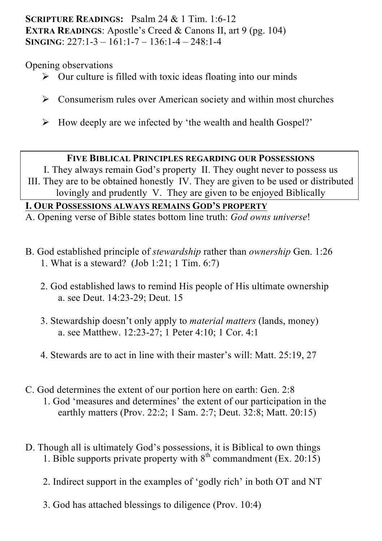### **SCRIPTURE READINGS:** Psalm 24 & 1 Tim. 1:6-12 **EXTRA READINGS:** Apostle's Creed & Canons II, art 9 (pg. 104) **SINGING**: 227:1-3 – 161:1-7 – 136:1-4 – 248:1-4

Opening observations

- $\triangleright$  Our culture is filled with toxic ideas floating into our minds
- $\triangleright$  Consumerism rules over American society and within most churches
- $\triangleright$  How deeply are we infected by 'the wealth and health Gospel?'

### **FIVE BIBLICAL PRINCIPLES REGARDING OUR POSSESSIONS**

I. They always remain God's property II. They ought never to possess us III. They are to be obtained honestly IV. They are given to be used or distributed lovingly and prudently V. They are given to be enjoyed Biblically

## **I. OUR POSSESSIONS ALWAYS REMAINS GOD'S PROPERTY**

A. Opening verse of Bible states bottom line truth: *God owns universe*!

- B. God established principle of *stewardship* rather than *ownership* Gen. 1:26 1. What is a steward? (Job 1:21; 1 Tim. 6:7)
	- 2. God established laws to remind His people of His ultimate ownership a. see Deut. 14:23-29; Deut. 15
	- 3. Stewardship doesn't only apply to *material matters* (lands, money) a. see Matthew. 12:23-27; 1 Peter 4:10; 1 Cor. 4:1
	- 4. Stewards are to act in line with their master's will: Matt. 25:19, 27
- C. God determines the extent of our portion here on earth: Gen. 2:8 1. God 'measures and determines' the extent of our participation in the earthly matters (Prov. 22:2; 1 Sam. 2:7; Deut. 32:8; Matt. 20:15)
- D. Though all is ultimately God's possessions, it is Biblical to own things 1. Bible supports private property with  $8<sup>th</sup>$  commandment (Ex. 20:15)
	- 2. Indirect support in the examples of 'godly rich' in both OT and NT
	- 3. God has attached blessings to diligence (Prov. 10:4)